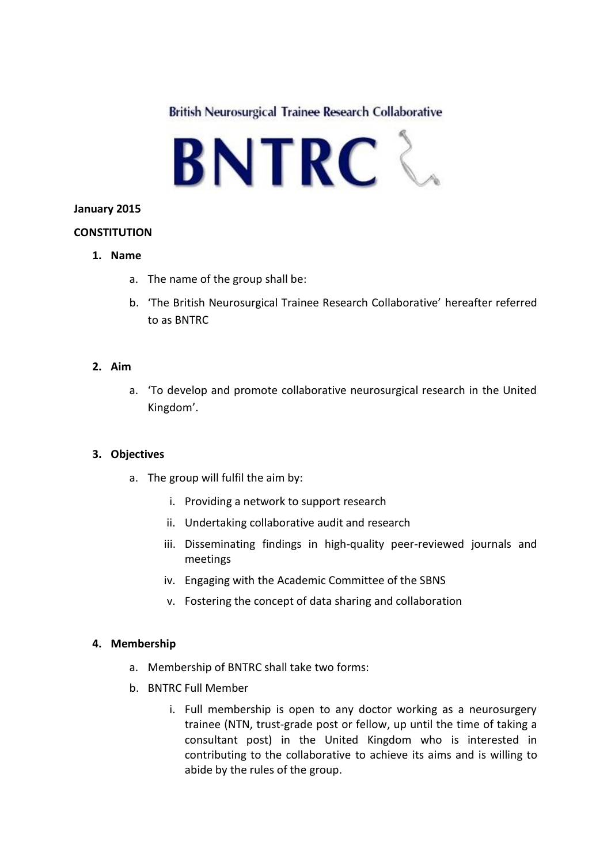British Neurosurgical Trainee Research Collaborative



# **January 2015**

# **CONSTITUTION**

- **1. Name**
	- a. The name of the group shall be:
	- b. 'The British Neurosurgical Trainee Research Collaborative' hereafter referred to as BNTRC

# **2. Aim**

a. 'To develop and promote collaborative neurosurgical research in the United Kingdom'.

# **3. Objectives**

- a. The group will fulfil the aim by:
	- i. Providing a network to support research
	- ii. Undertaking collaborative audit and research
	- iii. Disseminating findings in high-quality peer-reviewed journals and meetings
	- iv. Engaging with the Academic Committee of the SBNS
	- v. Fostering the concept of data sharing and collaboration

## **4. Membership**

- a. Membership of BNTRC shall take two forms:
- b. BNTRC Full Member
	- i. Full membership is open to any doctor working as a neurosurgery trainee (NTN, trust-grade post or fellow, up until the time of taking a consultant post) in the United Kingdom who is interested in contributing to the collaborative to achieve its aims and is willing to abide by the rules of the group.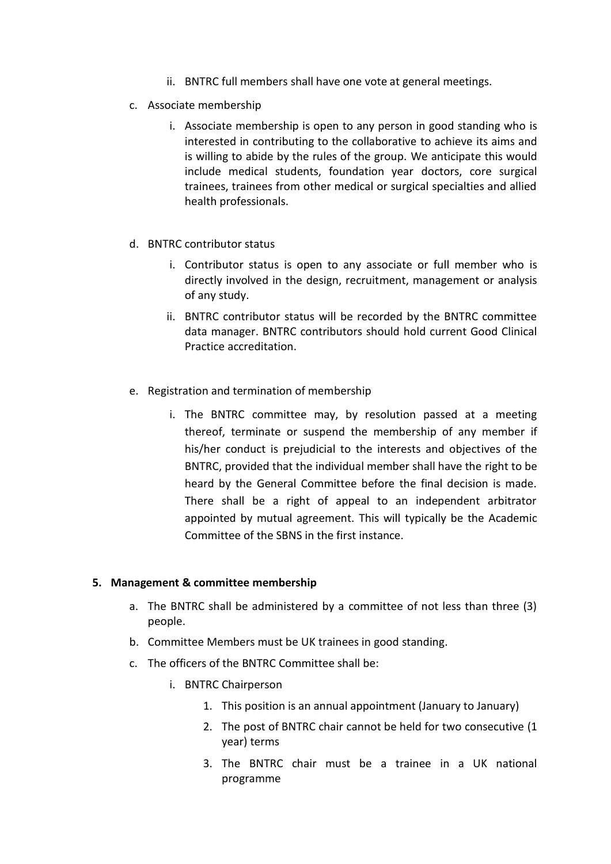- ii. BNTRC full members shall have one vote at general meetings.
- c. Associate membership
	- i. Associate membership is open to any person in good standing who is interested in contributing to the collaborative to achieve its aims and is willing to abide by the rules of the group. We anticipate this would include medical students, foundation year doctors, core surgical trainees, trainees from other medical or surgical specialties and allied health professionals.
- d. BNTRC contributor status
	- i. Contributor status is open to any associate or full member who is directly involved in the design, recruitment, management or analysis of any study.
	- ii. BNTRC contributor status will be recorded by the BNTRC committee data manager. BNTRC contributors should hold current Good Clinical Practice accreditation.
- e. Registration and termination of membership
	- i. The BNTRC committee may, by resolution passed at a meeting thereof, terminate or suspend the membership of any member if his/her conduct is prejudicial to the interests and objectives of the BNTRC, provided that the individual member shall have the right to be heard by the General Committee before the final decision is made. There shall be a right of appeal to an independent arbitrator appointed by mutual agreement. This will typically be the Academic Committee of the SBNS in the first instance.

## **5. Management & committee membership**

- a. The BNTRC shall be administered by a committee of not less than three (3) people.
- b. Committee Members must be UK trainees in good standing.
- c. The officers of the BNTRC Committee shall be:
	- i. BNTRC Chairperson
		- 1. This position is an annual appointment (January to January)
		- 2. The post of BNTRC chair cannot be held for two consecutive (1 year) terms
		- 3. The BNTRC chair must be a trainee in a UK national programme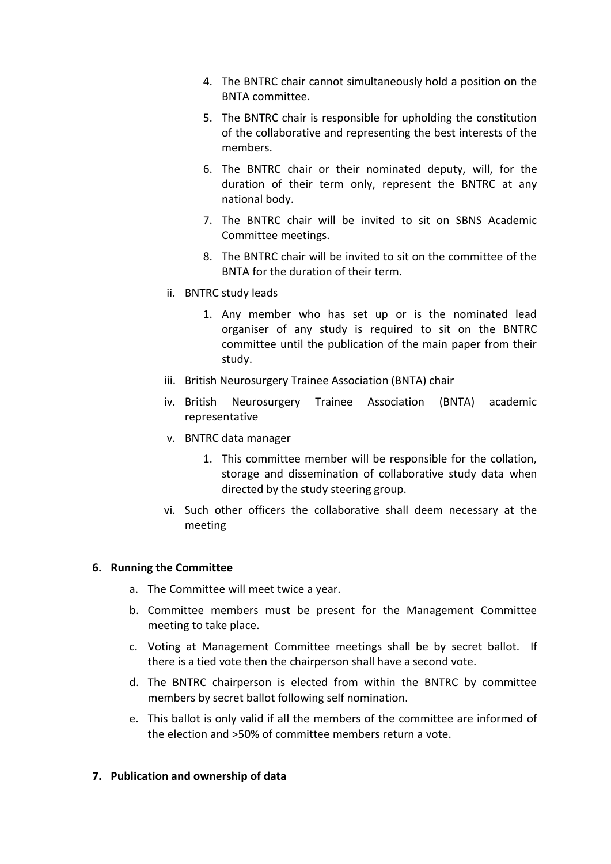- 4. The BNTRC chair cannot simultaneously hold a position on the BNTA committee.
- 5. The BNTRC chair is responsible for upholding the constitution of the collaborative and representing the best interests of the members.
- 6. The BNTRC chair or their nominated deputy, will, for the duration of their term only, represent the BNTRC at any national body.
- 7. The BNTRC chair will be invited to sit on SBNS Academic Committee meetings.
- 8. The BNTRC chair will be invited to sit on the committee of the BNTA for the duration of their term.
- ii. BNTRC study leads
	- 1. Any member who has set up or is the nominated lead organiser of any study is required to sit on the BNTRC committee until the publication of the main paper from their study.
- iii. British Neurosurgery Trainee Association (BNTA) chair
- iv. British Neurosurgery Trainee Association (BNTA) academic representative
- v. BNTRC data manager
	- 1. This committee member will be responsible for the collation, storage and dissemination of collaborative study data when directed by the study steering group.
- vi. Such other officers the collaborative shall deem necessary at the meeting

#### **6. Running the Committee**

- a. The Committee will meet twice a year.
- b. Committee members must be present for the Management Committee meeting to take place.
- c. Voting at Management Committee meetings shall be by secret ballot. If there is a tied vote then the chairperson shall have a second vote.
- d. The BNTRC chairperson is elected from within the BNTRC by committee members by secret ballot following self nomination.
- e. This ballot is only valid if all the members of the committee are informed of the election and >50% of committee members return a vote.

#### **7. Publication and ownership of data**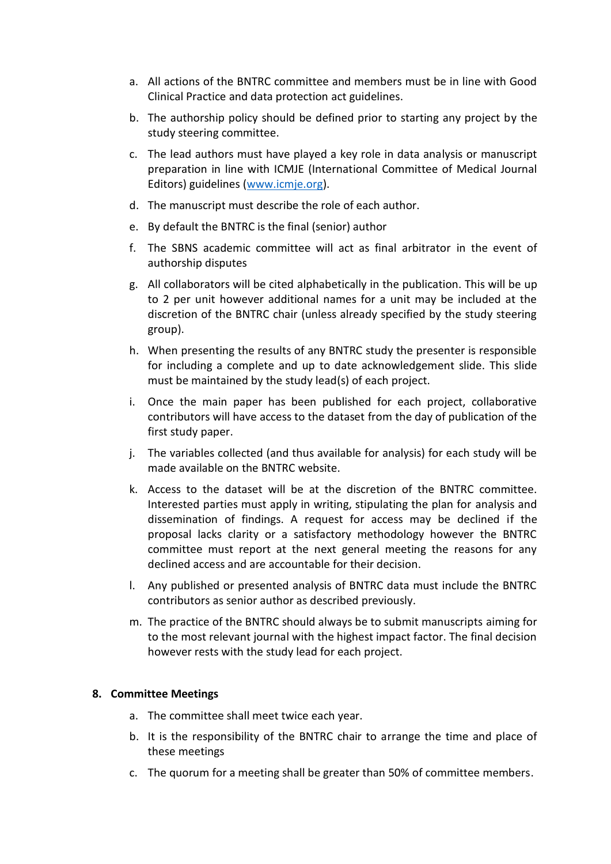- a. All actions of the BNTRC committee and members must be in line with Good Clinical Practice and data protection act guidelines.
- b. The authorship policy should be defined prior to starting any project by the study steering committee.
- c. The lead authors must have played a key role in data analysis or manuscript preparation in line with ICMJE (International Committee of Medical Journal Editors) guidelines [\(www.icmje.org\)](http://www.icmje.org/).
- d. The manuscript must describe the role of each author.
- e. By default the BNTRC is the final (senior) author
- f. The SBNS academic committee will act as final arbitrator in the event of authorship disputes
- g. All collaborators will be cited alphabetically in the publication. This will be up to 2 per unit however additional names for a unit may be included at the discretion of the BNTRC chair (unless already specified by the study steering group).
- h. When presenting the results of any BNTRC study the presenter is responsible for including a complete and up to date acknowledgement slide. This slide must be maintained by the study lead(s) of each project.
- i. Once the main paper has been published for each project, collaborative contributors will have access to the dataset from the day of publication of the first study paper.
- j. The variables collected (and thus available for analysis) for each study will be made available on the BNTRC website.
- k. Access to the dataset will be at the discretion of the BNTRC committee. Interested parties must apply in writing, stipulating the plan for analysis and dissemination of findings. A request for access may be declined if the proposal lacks clarity or a satisfactory methodology however the BNTRC committee must report at the next general meeting the reasons for any declined access and are accountable for their decision.
- l. Any published or presented analysis of BNTRC data must include the BNTRC contributors as senior author as described previously.
- m. The practice of the BNTRC should always be to submit manuscripts aiming for to the most relevant journal with the highest impact factor. The final decision however rests with the study lead for each project.

## **8. Committee Meetings**

- a. The committee shall meet twice each year.
- b. It is the responsibility of the BNTRC chair to arrange the time and place of these meetings
- c. The quorum for a meeting shall be greater than 50% of committee members.